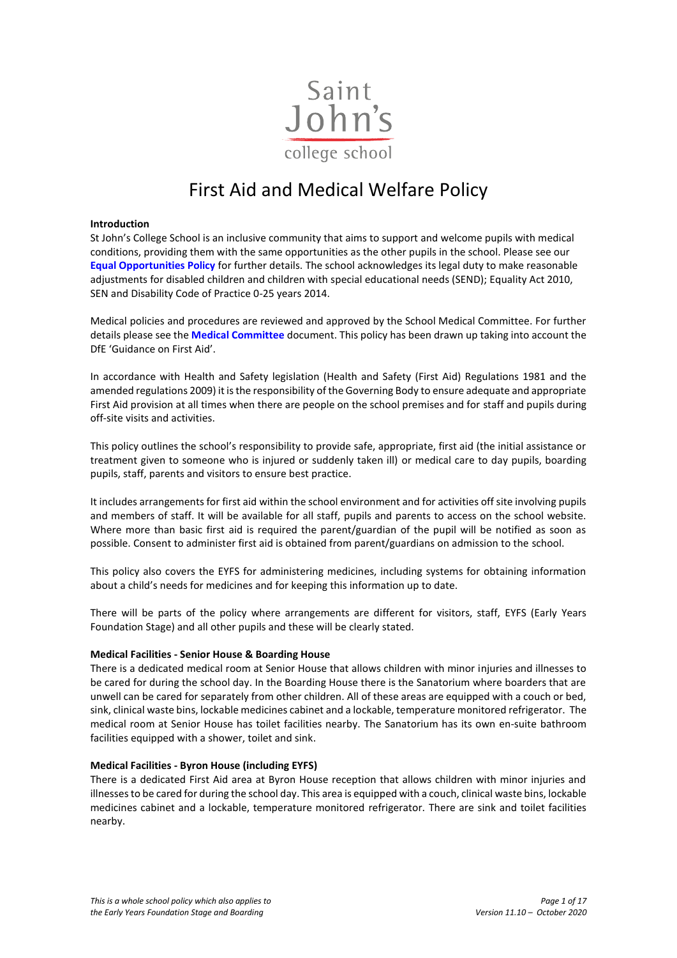

# First Aid and Medical Welfare Policy

#### **Introduction**

St John's College School is an inclusive community that aims to support and welcome pupils with medical conditions, providing them with the same opportunities as the other pupils in the school. Please see our **[Equal Opportunities Policy](https://www.sjcs.co.uk/sites/default/files/styles/Policies/SJCS%20Equal%20Opportunities%20Policy.pdf)** for further details. The school acknowledges its legal duty to make reasonable adjustments for disabled children and children with special educational needs (SEND); Equality Act 2010, SEN and Disability Code of Practice 0-25 years 2014.

Medical policies and procedures are reviewed and approved by the School Medical Committee. For further details please see the **[Medical Committee](https://www.sjcs.co.uk/sites/default/files/styles/Medical/01%20Medical%20Committee.pdf)** document. This policy has been drawn up taking into account the DfE 'Guidance on First Aid'.

In accordance with Health and Safety legislation (Health and Safety (First Aid) Regulations 1981 and the amended regulations 2009) it is the responsibility of the Governing Body to ensure adequate and appropriate First Aid provision at all times when there are people on the school premises and for staff and pupils during off-site visits and activities.

This policy outlines the school's responsibility to provide safe, appropriate, first aid (the initial assistance or treatment given to someone who is injured or suddenly taken ill) or medical care to day pupils, boarding pupils, staff, parents and visitors to ensure best practice.

It includes arrangements for first aid within the school environment and for activities off site involving pupils and members of staff. It will be available for all staff, pupils and parents to access on the school website. Where more than basic first aid is required the parent/guardian of the pupil will be notified as soon as possible. Consent to administer first aid is obtained from parent/guardians on admission to the school.

This policy also covers the EYFS for administering medicines, including systems for obtaining information about a child's needs for medicines and for keeping this information up to date.

There will be parts of the policy where arrangements are different for visitors, staff, EYFS (Early Years Foundation Stage) and all other pupils and these will be clearly stated.

#### **Medical Facilities - Senior House & Boarding House**

There is a dedicated medical room at Senior House that allows children with minor injuries and illnesses to be cared for during the school day. In the Boarding House there is the Sanatorium where boarders that are unwell can be cared for separately from other children. All of these areas are equipped with a couch or bed, sink, clinical waste bins, lockable medicines cabinet and a lockable, temperature monitored refrigerator. The medical room at Senior House has toilet facilities nearby. The Sanatorium has its own en-suite bathroom facilities equipped with a shower, toilet and sink.

## **Medical Facilities - Byron House (including EYFS)**

There is a dedicated First Aid area at Byron House reception that allows children with minor injuries and illnesses to be cared for during the school day. This area is equipped with a couch, clinical waste bins, lockable medicines cabinet and a lockable, temperature monitored refrigerator. There are sink and toilet facilities nearby.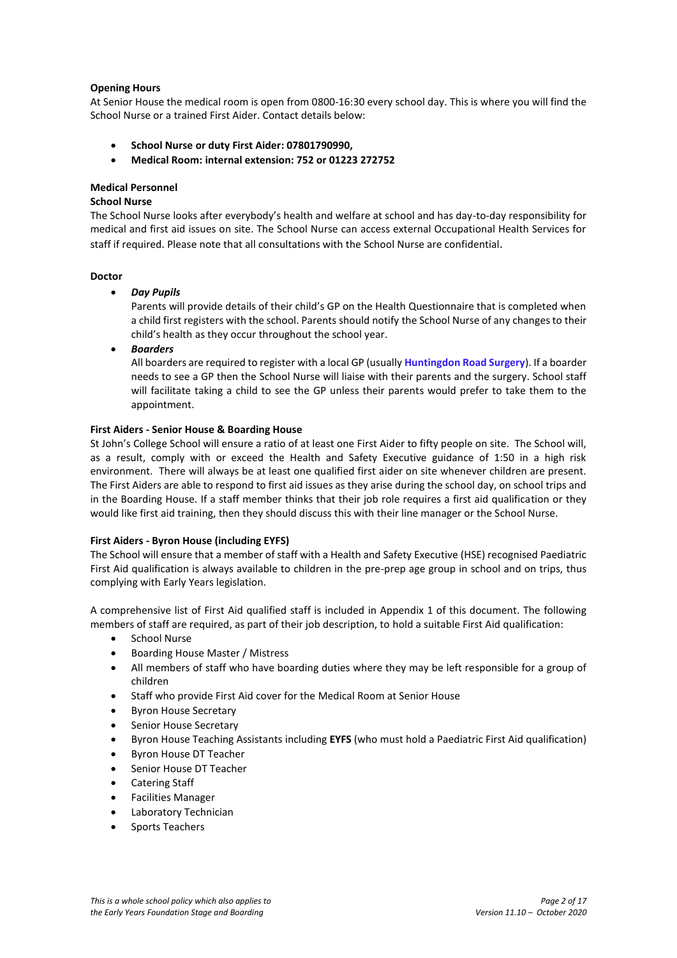## **Opening Hours**

At Senior House the medical room is open from 0800-16:30 every school day. This is where you will find the School Nurse or a trained First Aider. Contact details below:

- **School Nurse or duty First Aider: 07801790990,**
- **Medical Room: internal extension: 752 or 01223 272752**

## **Medical Personnel**

## **School Nurse**

The School Nurse looks after everybody's health and welfare at school and has day-to-day responsibility for medical and first aid issues on site. The School Nurse can access external Occupational Health Services for staff if required. Please note that all consultations with the School Nurse are confidential.

#### **Doctor**

*Day Pupils*

Parents will provide details of their child's GP on the Health Questionnaire that is completed when a child first registers with the school. Parents should notify the School Nurse of any changes to their child's health as they occur throughout the school year.

*Boarders*

All boarders are required to register with a local GP (usually **[Huntingdon Road Surgery](http://www.huntingdonroadsurgery.co.uk/)**). If a boarder needs to see a GP then the School Nurse will liaise with their parents and the surgery. School staff will facilitate taking a child to see the GP unless their parents would prefer to take them to the appointment.

## **First Aiders - Senior House & Boarding House**

St John's College School will ensure a ratio of at least one First Aider to fifty people on site. The School will, as a result, comply with or exceed the Health and Safety Executive guidance of 1:50 in a high risk environment. There will always be at least one qualified first aider on site whenever children are present. The First Aiders are able to respond to first aid issues as they arise during the school day, on school trips and in the Boarding House. If a staff member thinks that their job role requires a first aid qualification or they would like first aid training, then they should discuss this with their line manager or the School Nurse.

## **First Aiders - Byron House (including EYFS)**

The School will ensure that a member of staff with a Health and Safety Executive (HSE) recognised Paediatric First Aid qualification is always available to children in the pre-prep age group in school and on trips, thus complying with Early Years legislation.

A comprehensive list of First Aid qualified staff is included in Appendix 1 of this document. The following members of staff are required, as part of their job description, to hold a suitable First Aid qualification:

- School Nurse
- Boarding House Master / Mistress
- All members of staff who have boarding duties where they may be left responsible for a group of children
- Staff who provide First Aid cover for the Medical Room at Senior House
- Byron House Secretary
- Senior House Secretary
- Byron House Teaching Assistants including **EYFS** (who must hold a Paediatric First Aid qualification)
- Byron House DT Teacher
- Senior House DT Teacher
- Catering Staff
- Facilities Manager
- Laboratory Technician
- Sports Teachers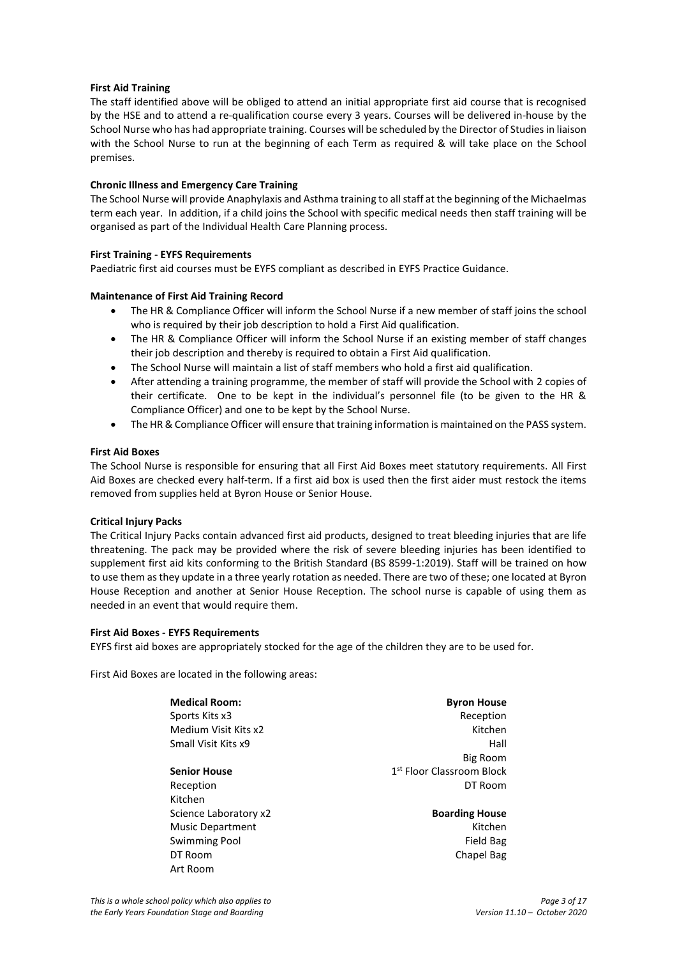## **First Aid Training**

The staff identified above will be obliged to attend an initial appropriate first aid course that is recognised by the HSE and to attend a re-qualification course every 3 years. Courses will be delivered in-house by the School Nurse who has had appropriate training. Courses will be scheduled by the Director of Studies in liaison with the School Nurse to run at the beginning of each Term as required & will take place on the School premises.

## **Chronic Illness and Emergency Care Training**

The School Nurse will provide Anaphylaxis and Asthma training to all staff at the beginning of the Michaelmas term each year. In addition, if a child joins the School with specific medical needs then staff training will be organised as part of the Individual Health Care Planning process.

## **First Training - EYFS Requirements**

Paediatric first aid courses must be EYFS compliant as described in EYFS Practice Guidance.

## **Maintenance of First Aid Training Record**

- The HR & Compliance Officer will inform the School Nurse if a new member of staff joins the school who is required by their job description to hold a First Aid qualification.
- The HR & Compliance Officer will inform the School Nurse if an existing member of staff changes their job description and thereby is required to obtain a First Aid qualification.
- The School Nurse will maintain a list of staff members who hold a first aid qualification.
- After attending a training programme, the member of staff will provide the School with 2 copies of their certificate. One to be kept in the individual's personnel file (to be given to the HR & Compliance Officer) and one to be kept by the School Nurse.
- The HR & Compliance Officer will ensure that training information is maintained on the PASS system.

## **First Aid Boxes**

The School Nurse is responsible for ensuring that all First Aid Boxes meet statutory requirements. All First Aid Boxes are checked every half-term. If a first aid box is used then the first aider must restock the items removed from supplies held at Byron House or Senior House.

## **Critical Injury Packs**

The Critical Injury Packs contain advanced first aid products, designed to treat bleeding injuries that are life threatening. The pack may be provided where the risk of severe bleeding injuries has been identified to supplement first aid kits conforming to the British Standard (BS 8599-1:2019). Staff will be trained on how to use them as they update in a three yearly rotation as needed. There are two of these; one located at Byron House Reception and another at Senior House Reception. The school nurse is capable of using them as needed in an event that would require them.

## **First Aid Boxes - EYFS Requirements**

EYFS first aid boxes are appropriately stocked for the age of the children they are to be used for.

First Aid Boxes are located in the following areas:

**Medical Room: Byron House** Sports Kits x3 Reception Medium Visit Kits x2 Kitchen Small Visit Kits x9 Hall **Senior House** Reception **DT Room** Kitchen

Big Room 1<sup>st</sup> Floor Classroom Block

Science Laboratory x2 **Boarding House** Music Department **Kitchen** Swimming Pool and The Contract of the Contract of Trend Bag DT Room Chapel Bag

Art Room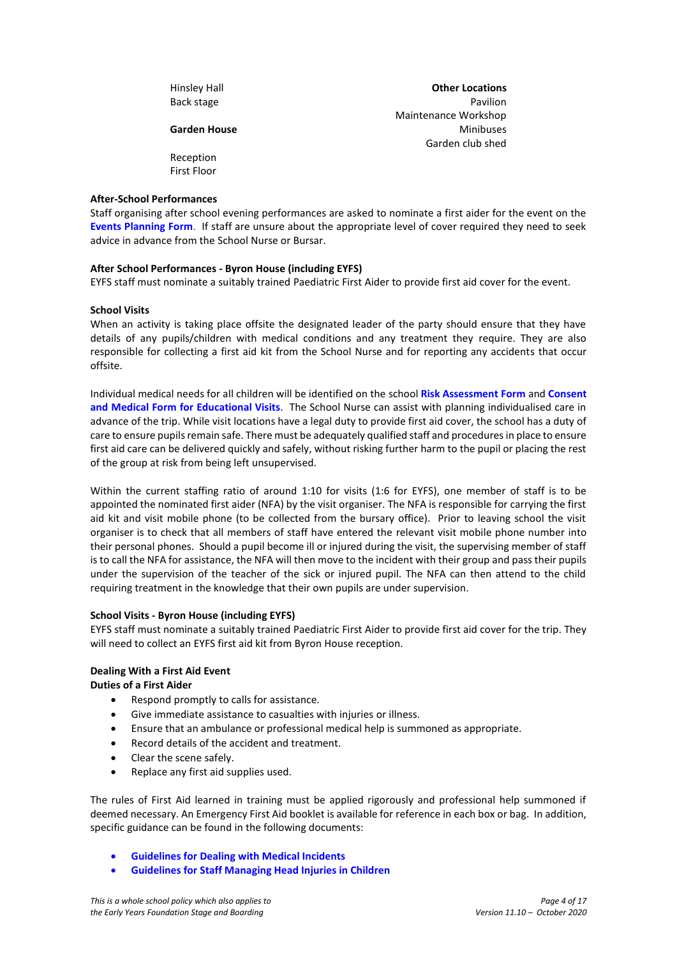| Hinsley Hall | <b>Other Locations</b> |
|--------------|------------------------|
| Back stage   | Pavilion               |
|              | Maintenance Workshop   |
| Garden House | <b>Minibuses</b>       |
|              | Garden club shed       |
| Reception    |                        |
| First Floor  |                        |

## **After-School Performances**

Staff organising after school evening performances are asked to nominate a first aider for the event on the **[Events Planning](https://www.sjcs.co.uk/sites/default/files/styles/Events%20and%20Trips%20Guidance/Events%20Planning%20Pro-Forma.docx) Form**. If staff are unsure about the appropriate level of cover required they need to seek advice in advance from the School Nurse or Bursar.

#### **After School Performances - Byron House (including EYFS)**

EYFS staff must nominate a suitably trained Paediatric First Aider to provide first aid cover for the event.

#### **School Visits**

When an activity is taking place offsite the designated leader of the party should ensure that they have details of any pupils/children with medical conditions and any treatment they require. They are also responsible for collecting a first aid kit from the School Nurse and for reporting any accidents that occur offsite.

Individual medical needs for all children will be identified on the school **[Risk Assessment](https://www.sjcs.co.uk/sites/default/files/styles/Events%20and%20Trips%20Guidance/Risk%20Assessment%20Template.docx) Form** and **[Consent](https://www.sjcs.co.uk/sites/default/files/styles/Events%20and%20Trips%20Guidance/Consent%20%26%20Medical%20Form%20for%20Educational%20Visits.docx)  [and Medical Form for Educational Visits](https://www.sjcs.co.uk/sites/default/files/styles/Events%20and%20Trips%20Guidance/Consent%20%26%20Medical%20Form%20for%20Educational%20Visits.docx)**. The School Nurse can assist with planning individualised care in advance of the trip. While visit locations have a legal duty to provide first aid cover, the school has a duty of care to ensure pupils remain safe. There must be adequately qualified staff and procedures in place to ensure first aid care can be delivered quickly and safely, without risking further harm to the pupil or placing the rest of the group at risk from being left unsupervised.

Within the current staffing ratio of around 1:10 for visits (1:6 for EYFS), one member of staff is to be appointed the nominated first aider (NFA) by the visit organiser. The NFA is responsible for carrying the first aid kit and visit mobile phone (to be collected from the bursary office). Prior to leaving school the visit organiser is to check that all members of staff have entered the relevant visit mobile phone number into their personal phones. Should a pupil become ill or injured during the visit, the supervising member of staff is to call the NFA for assistance, the NFA will then move to the incident with their group and pass their pupils under the supervision of the teacher of the sick or injured pupil. The NFA can then attend to the child requiring treatment in the knowledge that their own pupils are under supervision.

## **School Visits - Byron House (including EYFS)**

EYFS staff must nominate a suitably trained Paediatric First Aider to provide first aid cover for the trip. They will need to collect an EYFS first aid kit from Byron House reception.

#### **Dealing With a First Aid Event**

**Duties of a First Aider** 

- Respond promptly to calls for assistance.
- Give immediate assistance to casualties with injuries or illness.
- Ensure that an ambulance or professional medical help is summoned as appropriate.
- Record details of the accident and treatment.
- Clear the scene safely.
- Replace any first aid supplies used.

The rules of First Aid learned in training must be applied rigorously and professional help summoned if deemed necessary. An Emergency First Aid booklet is available for reference in each box or bag. In addition, specific guidance can be found in the following documents:

- **Guidelines for Dealing [with Medical Incidents](https://www.sjcs.co.uk/sites/default/files/styles/Medical/11%20Guidelines%20for%20Dealing%20with%20Incidents.pdf)**
- **Guidelines [for Staff Managing Head Injuries in Children](https://www.sjcs.co.uk/sites/default/files/styles/Medical/10%20Guideline%20for%20Managing%20Head%20Injuries%20in%20Children.pdf)**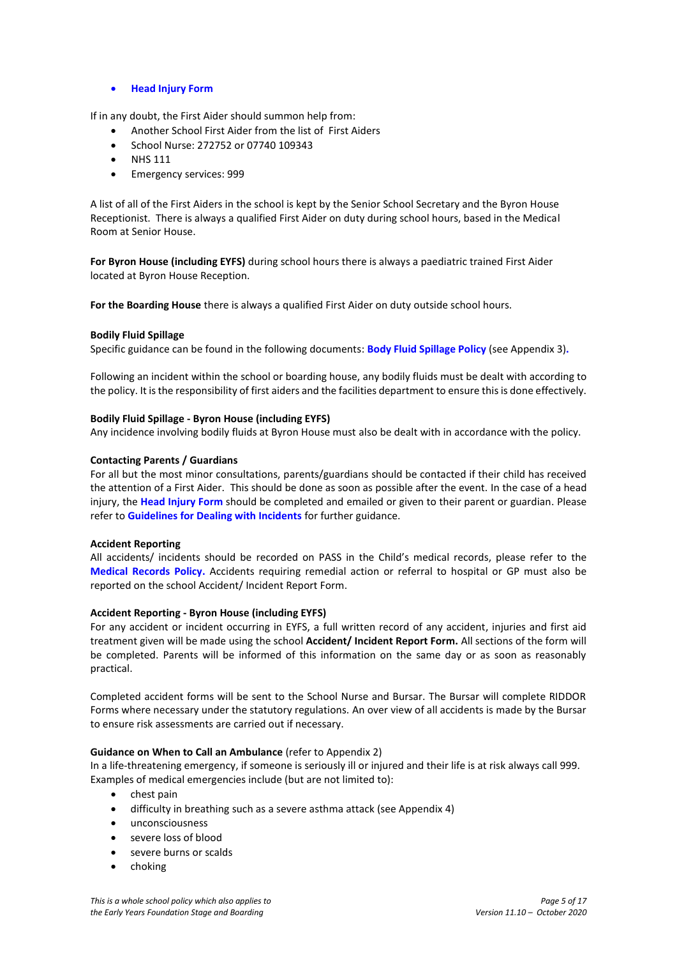**[Head Injury Form](https://www.sjcs.co.uk/sites/default/files/styles/Medical/Head%20Injury%20Form.docx)**

If in any doubt, the First Aider should summon help from:

- Another School First Aider from the list of First Aiders
- School Nurse: 272752 or 07740 109343
- $\bullet$  NHS 111
- **•** Emergency services: 999

A list of all of the First Aiders in the school is kept by the Senior School Secretary and the Byron House Receptionist. There is always a qualified First Aider on duty during school hours, based in the Medical Room at Senior House.

**For Byron House (including EYFS)** during school hours there is always a paediatric trained First Aider located at Byron House Reception.

**For the Boarding House** there is always a qualified First Aider on duty outside school hours.

## **Bodily Fluid Spillage**

Specific guidance can be found in the following documents: **[Body Fluid Spillage Policy](#page-10-0)** (see Appendix 3)**.**

Following an incident within the school or boarding house, any bodily fluids must be dealt with according to the policy. It is the responsibility of first aiders and the facilities department to ensure this is done effectively.

#### **Bodily Fluid Spillage - Byron House (including EYFS)**

Any incidence involving bodily fluids at Byron House must also be dealt with in accordance with the policy.

#### **Contacting Parents / Guardians**

For all but the most minor consultations, parents/guardians should be contacted if their child has received the attention of a First Aider. This should be done as soon as possible after the event. In the case of a head injury, the **[Head Injury Form](https://www.sjcs.co.uk/sites/default/files/styles/Medical/Head%20Injury%20Form.docx)** should be completed and emailed or given to their parent or guardian. Please refer to **[Guidelines for Dealing with Incidents](https://www.sjcs.co.uk/sites/default/files/styles/Medical/11%20Guidelines%20for%20Dealing%20with%20Incidents.pdf)** for further guidance.

#### **Accident Reporting**

All accidents/ incidents should be recorded on PASS in the Child's medical records, please refer to the **[Medical Records Policy.](https://www.sjcs.co.uk/sites/default/files/styles/Medical/05%20Medical%20Records%20Policy.pdf)** Accidents requiring remedial action or referral to hospital or GP must also be reported on the school Accident/ Incident Report Form.

#### **Accident Reporting - Byron House (including EYFS)**

For any accident or incident occurring in EYFS, a full written record of any accident, injuries and first aid treatment given will be made using the school **[Accident/ Incident Report Form.](https://www.sjcs.co.uk/sites/default/files/styles/Medical/Accident%20Incident%20Report%20Form.doc)** All sections of the form will be completed. Parents will be informed of this information on the same day or as soon as reasonably practical.

Completed accident forms will be sent to the School Nurse and Bursar. The Bursar will complete RIDDOR Forms where necessary under the statutory regulations. An over view of all accidents is made by the Bursar to ensure risk assessments are carried out if necessary.

#### **Guidance on When to Call an Ambulance** (refer to Appendix 2)

In a life-threatening emergency, if someone is seriously ill or injured and their life is at risk always call 999. Examples of medical emergencies include (but are not limited to):

- chest pain
- difficulty in breathing such as a severe asthma attack (see Appendix 4)
- unconsciousness
- severe loss of blood
- severe burns or scalds
- choking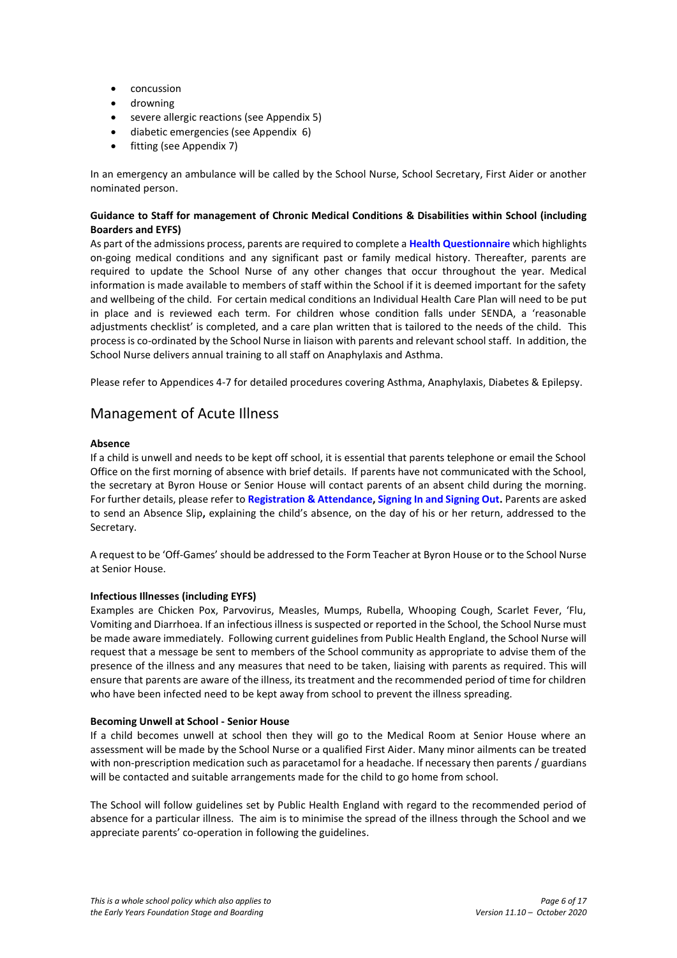- concussion
- drowning
- severe allergic reactions (see Appendix 5)
- diabetic emergencies (see Appendix 6)
- fitting (see Appendix 7)

In an emergency an ambulance will be called by the School Nurse, School Secretary, First Aider or another nominated person.

## **Guidance to Staff for management of Chronic Medical Conditions & Disabilities within School (including Boarders and EYFS)**

As part of the admissions process, parents are required to complete a **[Health Questionnaire](https://www.sjcs.co.uk/sites/default/files/styles/Medical/Health%20Questionnaire.docx)** which highlights on-going medical conditions and any significant past or family medical history. Thereafter, parents are required to update the School Nurse of any other changes that occur throughout the year. Medical information is made available to members of staff within the School if it is deemed important for the safety and wellbeing of the child. For certain medical conditions an Individual Health Care Plan will need to be put in place and is reviewed each term. For children whose condition falls under SENDA, a 'reasonable adjustments checklist' is completed, and a care plan written that is tailored to the needs of the child. This process is co-ordinated by the School Nurse in liaison with parents and relevant school staff. In addition, the School Nurse delivers annual training to all staff on Anaphylaxis and Asthma.

Please refer to Appendices 4-7 for detailed procedures covering Asthma, Anaphylaxis, Diabetes & Epilepsy.

## Management of Acute Illness

## **Absence**

If a child is unwell and needs to be kept off school, it is essential that parents telephone or email the School Office on the first morning of absence with brief details. If parents have not communicated with the School, the secretary at Byron House or Senior House will contact parents of an absent child during the morning. For further details, please refer to **[Registration & Attendance,](https://www.sjcs.co.uk/registration-and-attendance) [Signing In and Signing Out.](https://www.sjcs.co.uk/signing-and-signing-out)** Parents are asked to send an Absence Slip**,** explaining the child's absence, on the day of his or her return, addressed to the Secretary.

A request to be 'Off-Games' should be addressed to the Form Teacher at Byron House or to the School Nurse at Senior House.

## **Infectious Illnesses (including EYFS)**

Examples are Chicken Pox, Parvovirus, Measles, Mumps, Rubella, Whooping Cough, Scarlet Fever, 'Flu, Vomiting and Diarrhoea. If an infectious illness is suspected or reported in the School, the School Nurse must be made aware immediately. Following current guidelines from Public Health England, the School Nurse will request that a message be sent to members of the School community as appropriate to advise them of the presence of the illness and any measures that need to be taken, liaising with parents as required. This will ensure that parents are aware of the illness, its treatment and the recommended period of time for children who have been infected need to be kept away from school to prevent the illness spreading.

#### **Becoming Unwell at School - Senior House**

If a child becomes unwell at school then they will go to the Medical Room at Senior House where an assessment will be made by the School Nurse or a qualified First Aider. Many minor ailments can be treated with non-prescription medication such as paracetamol for a headache. If necessary then parents / guardians will be contacted and suitable arrangements made for the child to go home from school.

The School will follow guidelines set by Public Health England with regard to the recommended period of absence for a particular illness. The aim is to minimise the spread of the illness through the School and we appreciate parents' co-operation in following the guidelines.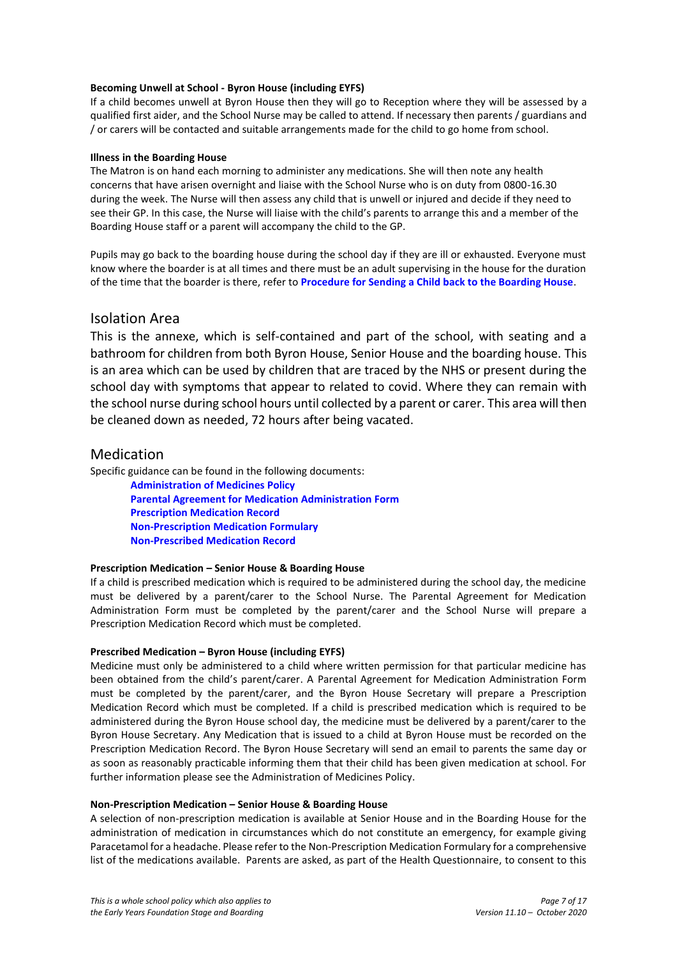## **Becoming Unwell at School - Byron House (including EYFS)**

If a child becomes unwell at Byron House then they will go to Reception where they will be assessed by a qualified first aider, and the School Nurse may be called to attend. If necessary then parents / guardians and / or carers will be contacted and suitable arrangements made for the child to go home from school.

## **Illness in the Boarding House**

The Matron is on hand each morning to administer any medications. She will then note any health concerns that have arisen overnight and liaise with the School Nurse who is on duty from 0800-16.30 during the week. The Nurse will then assess any child that is unwell or injured and decide if they need to see their GP. In this case, the Nurse will liaise with the child's parents to arrange this and a member of the Boarding House staff or a parent will accompany the child to the GP.

Pupils may go back to the boarding house during the school day if they are ill or exhausted. Everyone must know where the boarder is at all times and there must be an adult supervising in the house for the duration of the time that the boarder is there, refer to **[Procedure for Sending a Child back to the Boarding House](https://www.sjcs.co.uk/sites/default/files/styles/Boarding%20Guidance/19%20Procedure%20for%20sending%20a%20child%20back%20to%20the%20Boarding%20House%20during%20the%20School%20Day.pdf)**.

## Isolation Area

This is the annexe, which is self-contained and part of the school, with seating and a bathroom for children from both Byron House, Senior House and the boarding house. This is an area which can be used by children that are traced by the NHS or present during the school day with symptoms that appear to related to covid. Where they can remain with the school nurse during school hours until collected by a parent or carer. This area will then be cleaned down as needed, 72 hours after being vacated.

## Medication

Specific guidance can be found in the following documents:

**[Administration of Medicines Policy](https://www.sjcs.co.uk/sites/default/files/styles/Medical/07%20Administration%20of%20Medicines%20Policy.pdf) [Parental Agreement for Medication Administration Form](https://www.sjcs.co.uk/sites/default/files/styles/Medical/Parental%20Agreement%20for%20Medication%20Administration%20Form.docx) [Prescription Medication Record](https://www.sjcs.co.uk/sites/default/files/styles/Medical/Prescription%20Medication%20Record.doc) [Non-Prescription Medication Formulary](https://www.sjcs.co.uk/sites/default/files/styles/Medical/12%20Non-Prescription%20Medication%20Formulary.pdf) [Non-Prescribed Medication Record](https://www.sjcs.co.uk/sites/default/files/styles/Medical/Non-Prescribed%20Medication%20Record.doc)**

## **Prescription Medication – Senior House & Boarding House**

If a child is prescribed medication which is required to be administered during the school day, the medicine must be delivered by a parent/carer to the School Nurse. The [Parental Agreement for Medication](http://www.school-portal.co.uk/GroupDownloadFile.asp?GroupId=40372&ResourceID=4849942)  [Administration Form](http://www.school-portal.co.uk/GroupDownloadFile.asp?GroupId=40372&ResourceID=4849942) must be completed by the parent/carer and the School Nurse will prepare a [Prescription Medication Record](https://www.sjcs.co.uk/sites/default/files/styles/Medical/Prescription%20Medication%20Record.doc) which must be completed.

## **Prescribed Medication – Byron House (including EYFS)**

Medicine must only be administered to a child where written permission for that particular medicine has been obtained from the child's parent/carer. A Parental Agreement for [Medication Administration Form](http://www.school-portal.co.uk/GroupDownloadFile.asp?GroupId=40372&ResourceID=4849942) must be completed by the parent/carer, and the Byron House Secretary will prepare a [Prescription](https://www.sjcs.co.uk/sites/default/files/styles/Medical/Prescription%20Medication%20Record.doc)  [Medication Record](https://www.sjcs.co.uk/sites/default/files/styles/Medical/Prescription%20Medication%20Record.doc) which must be completed. If a child is prescribed medication which is required to be administered during the Byron House school day, the medicine must be delivered by a parent/carer to the Byron House Secretary. Any Medication that is issued to a child at Byron House must be recorded on the [Prescription Medication Record.](https://www.sjcs.co.uk/sites/default/files/styles/Medical/Prescription%20Medication%20Record.doc) The Byron House Secretary will send an email to parents the same day or as soon as reasonably practicable informing them that their child has been given medication at school. For further information please see th[e Administration of Medicines Policy.](https://www.sjcs.co.uk/sites/default/files/styles/Medical/07%20Administration%20of%20Medicines%20Policy.pdf)

## **Non-Prescription Medication – Senior House & Boarding House**

A selection of non-prescription medication is available at Senior House and in the Boarding House for the administration of medication in circumstances which do not constitute an emergency, for example giving Paracetamol for a headache. Please refer to the [Non-Prescription Medication Formulary](https://www.sjcs.co.uk/sites/default/files/styles/Medical/12%20Non-Prescription%20Medication%20Formulary.pdf) for a comprehensive list of the medications available. Parents are asked, as part of the Health Questionnaire, to consent to this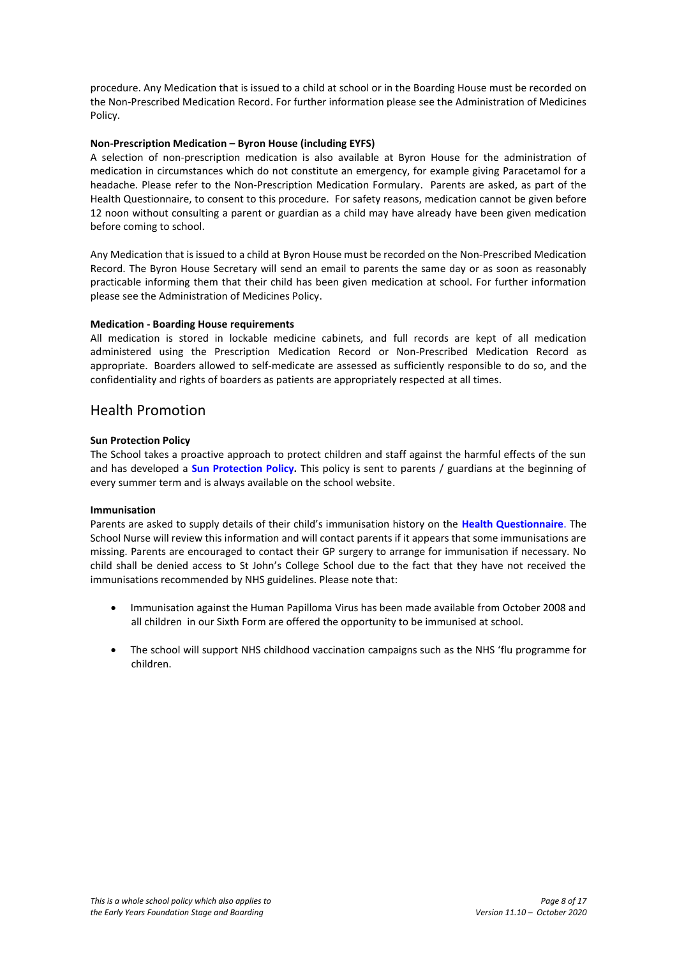procedure. Any Medication that is issued to a child at school or in the Boarding House must be recorded on th[e Non-Prescribed Medication Record.](https://www.sjcs.co.uk/sites/default/files/styles/Medical/Non-Prescribed%20Medication%20Record.doc) For further information please see th[e Administration of Medicines](https://www.sjcs.co.uk/sites/default/files/styles/Medical/07%20Administration%20of%20Medicines%20Policy.pdf)  [Policy.](https://www.sjcs.co.uk/sites/default/files/styles/Medical/07%20Administration%20of%20Medicines%20Policy.pdf)

## **Non-Prescription Medication – Byron House (including EYFS)**

A selection of non-prescription medication is also available at Byron House for the administration of medication in circumstances which do not constitute an emergency, for example giving Paracetamol for a headache. Please refer to the [Non-Prescription Medication Formulary.](https://www.sjcs.co.uk/sites/default/files/styles/Medical/12%20Non-Prescription%20Medication%20Formulary.pdf) Parents are asked, as part of the Health Questionnaire, to consent to this procedure. For safety reasons, medication cannot be given before 12 noon without consulting a parent or guardian as a child may have already have been given medication before coming to school.

Any Medication that is issued to a child at Byron House must be recorded on the [Non-Prescribed Medication](https://www.sjcs.co.uk/sites/default/files/styles/Medical/Non-Prescribed%20Medication%20Record.doc)  [Record.](https://www.sjcs.co.uk/sites/default/files/styles/Medical/Non-Prescribed%20Medication%20Record.doc) The Byron House Secretary will send an email to parents the same day or as soon as reasonably practicable informing them that their child has been given medication at school. For further information please see the [Administration of Medicines Policy.](https://www.sjcs.co.uk/sites/default/files/styles/Medical/07%20Administration%20of%20Medicines%20Policy.pdf)

## **Medication - Boarding House requirements**

All medication is stored in lockable medicine cabinets, and full records are kept of all medication administered using the [Prescription Medication Record](https://www.sjcs.co.uk/sites/default/files/styles/Medical/Prescription%20Medication%20Record.doc) or [Non-Prescribed Medication Record](https://www.sjcs.co.uk/sites/default/files/styles/Medical/Non-Prescribed%20Medication%20Record.doc) as appropriate. Boarders allowed to self-medicate are assessed as sufficiently responsible to do so, and the confidentiality and rights of boarders as patients are appropriately respected at all times.

## Health Promotion

## **Sun Protection Policy**

The School takes a proactive approach to protect children and staff against the harmful effects of the sun and has developed a **[Sun Protection Policy.](https://www.sjcs.co.uk/sites/default/files/styles/Policies/SJCS%20Sun%20Protection%20Policy.pdf)** This policy is sent to parents / guardians at the beginning of every summer term and is always available on the school website.

## **Immunisation**

Parents are asked to supply details of their child's immunisation history on the **[Health Questionnaire](https://www.sjcs.co.uk/sites/default/files/styles/Medical/Health%20Questionnaire.docx)**. The School Nurse will review this information and will contact parents if it appears that some immunisations are missing. Parents are encouraged to contact their GP surgery to arrange for immunisation if necessary. No child shall be denied access to St John's College School due to the fact that they have not received the immunisations recommended by NHS guidelines. Please note that:

- Immunisation against the Human Papilloma Virus has been made available from October 2008 and all children in our Sixth Form are offered the opportunity to be immunised at school.
- The school will support NHS childhood vaccination campaigns such as the NHS 'flu programme for children.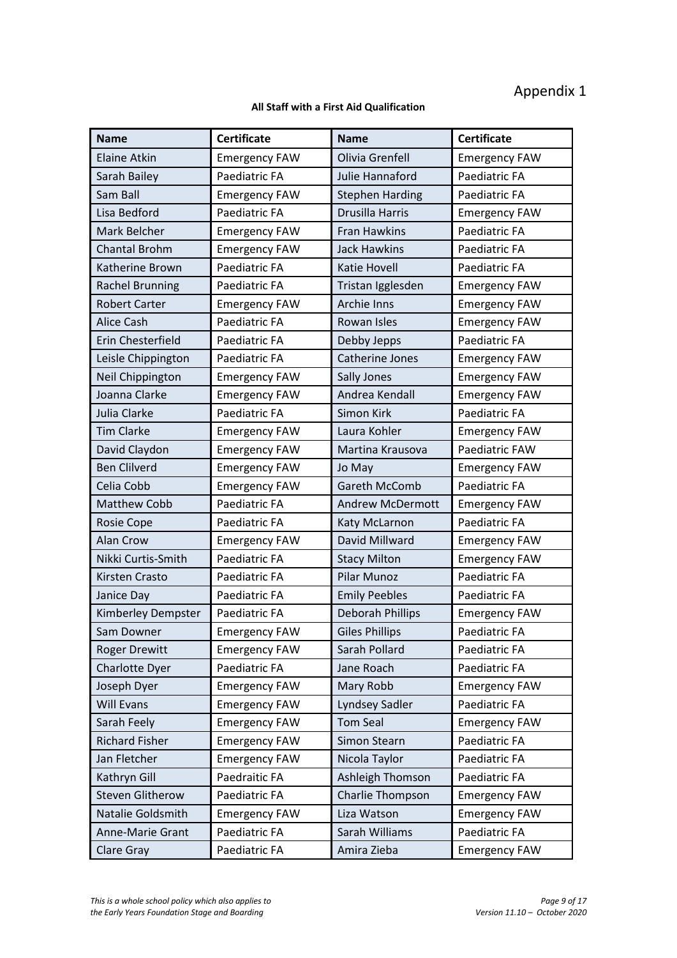# Appendix 1

## **All Staff with a First Aid Qualification**

| <b>Name</b>             | <b>Certificate</b>   | <b>Name</b>             | <b>Certificate</b>   |
|-------------------------|----------------------|-------------------------|----------------------|
| <b>Elaine Atkin</b>     | <b>Emergency FAW</b> | Olivia Grenfell         | <b>Emergency FAW</b> |
| Sarah Bailey            | Paediatric FA        | Julie Hannaford         | Paediatric FA        |
| Sam Ball                | <b>Emergency FAW</b> | <b>Stephen Harding</b>  | Paediatric FA        |
| Lisa Bedford            | Paediatric FA        | Drusilla Harris         | <b>Emergency FAW</b> |
| Mark Belcher            | <b>Emergency FAW</b> | Fran Hawkins            | Paediatric FA        |
| <b>Chantal Brohm</b>    | <b>Emergency FAW</b> | <b>Jack Hawkins</b>     | Paediatric FA        |
| Katherine Brown         | Paediatric FA        | <b>Katie Hovell</b>     | Paediatric FA        |
| <b>Rachel Brunning</b>  | Paediatric FA        | Tristan Igglesden       | <b>Emergency FAW</b> |
| <b>Robert Carter</b>    | <b>Emergency FAW</b> | <b>Archie Inns</b>      | <b>Emergency FAW</b> |
| <b>Alice Cash</b>       | Paediatric FA        | Rowan Isles             | <b>Emergency FAW</b> |
| Erin Chesterfield       | Paediatric FA        | Debby Jepps             | Paediatric FA        |
| Leisle Chippington      | Paediatric FA        | Catherine Jones         | <b>Emergency FAW</b> |
| Neil Chippington        | <b>Emergency FAW</b> | Sally Jones             | <b>Emergency FAW</b> |
| Joanna Clarke           | <b>Emergency FAW</b> | Andrea Kendall          | <b>Emergency FAW</b> |
| Julia Clarke            | Paediatric FA        | Simon Kirk              | Paediatric FA        |
| <b>Tim Clarke</b>       | <b>Emergency FAW</b> | Laura Kohler            | <b>Emergency FAW</b> |
| David Claydon           | <b>Emergency FAW</b> | Martina Krausova        | Paediatric FAW       |
| <b>Ben Clilverd</b>     | <b>Emergency FAW</b> | Jo May                  | <b>Emergency FAW</b> |
| Celia Cobb              | <b>Emergency FAW</b> | Gareth McComb           | Paediatric FA        |
| <b>Matthew Cobb</b>     | Paediatric FA        | <b>Andrew McDermott</b> | <b>Emergency FAW</b> |
| Rosie Cope              | Paediatric FA        | Katy McLarnon           | Paediatric FA        |
| Alan Crow               | <b>Emergency FAW</b> | David Millward          | <b>Emergency FAW</b> |
| Nikki Curtis-Smith      | Paediatric FA        | <b>Stacy Milton</b>     | <b>Emergency FAW</b> |
| Kirsten Crasto          | Paediatric FA        | Pilar Munoz             | Paediatric FA        |
| Janice Day              | Paediatric FA        | <b>Emily Peebles</b>    | Paediatric FA        |
| Kimberley Dempster      | Paediatric FA        | Deborah Phillips        | <b>Emergency FAW</b> |
| Sam Downer              | <b>Emergency FAW</b> | <b>Giles Phillips</b>   | Paediatric FA        |
| <b>Roger Drewitt</b>    | <b>Emergency FAW</b> | Sarah Pollard           | Paediatric FA        |
| Charlotte Dyer          | Paediatric FA        | Jane Roach              | Paediatric FA        |
| Joseph Dyer             | <b>Emergency FAW</b> | Mary Robb               | <b>Emergency FAW</b> |
| <b>Will Evans</b>       | <b>Emergency FAW</b> | Lyndsey Sadler          | Paediatric FA        |
| Sarah Feely             | <b>Emergency FAW</b> | <b>Tom Seal</b>         | <b>Emergency FAW</b> |
| <b>Richard Fisher</b>   | <b>Emergency FAW</b> | Simon Stearn            | Paediatric FA        |
| Jan Fletcher            | <b>Emergency FAW</b> | Nicola Taylor           | Paediatric FA        |
| Kathryn Gill            | Paedraitic FA        | Ashleigh Thomson        | Paediatric FA        |
| <b>Steven Glitherow</b> | Paediatric FA        | Charlie Thompson        | <b>Emergency FAW</b> |
| Natalie Goldsmith       | <b>Emergency FAW</b> | Liza Watson             | <b>Emergency FAW</b> |
| Anne-Marie Grant        | Paediatric FA        | Sarah Williams          | Paediatric FA        |
| Clare Gray              | Paediatric FA        | Amira Zieba             | <b>Emergency FAW</b> |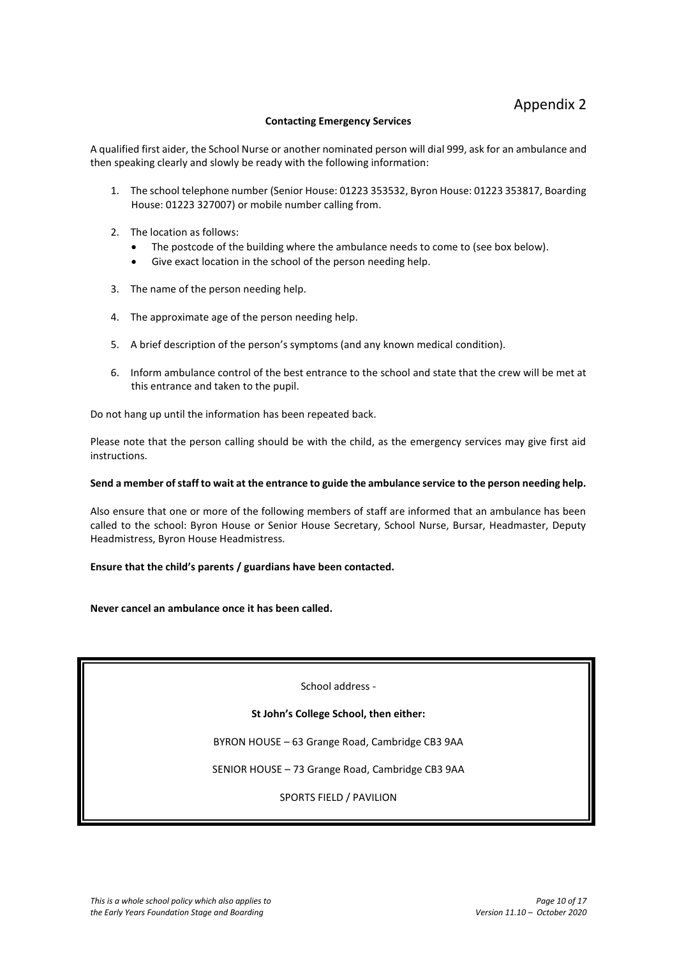## **Contacting Emergency Services**

A qualified first aider, the School Nurse or another nominated person will dial 999, ask for an ambulance and then speaking clearly and slowly be ready with the following information:

- 1. The school telephone number (Senior House: 01223 353532, Byron House: 01223 353817, Boarding House: 01223 327007) or mobile number calling from.
- 2. The location as follows:
	- The postcode of the building where the ambulance needs to come to (see box below).
	- Give exact location in the school of the person needing help.
- 3. The name of the person needing help.
- 4. The approximate age of the person needing help.
- 5. A brief description of the person's symptoms (and any known medical condition).
- 6. Inform ambulance control of the best entrance to the school and state that the crew will be met at this entrance and taken to the pupil.

Do not hang up until the information has been repeated back.

Please note that the person calling should be with the child, as the emergency services may give first aid instructions.

#### **Send a member of staff to wait at the entrance to guide the ambulance service to the person needing help.**

Also ensure that one or more of the following members of staff are informed that an ambulance has been called to the school: Byron House or Senior House Secretary, School Nurse, Bursar, Headmaster, Deputy Headmistress, Byron House Headmistress.

#### **Ensure that the child's parents / guardians have been contacted.**

#### **Never cancel an ambulance once it has been called.**

School address -

**St John's College School, then either:**

BYRON HOUSE – 63 Grange Road, Cambridge CB3 9AA

SENIOR HOUSE – 73 Grange Road, Cambridge CB3 9AA

SPORTS FIELD / PAVILION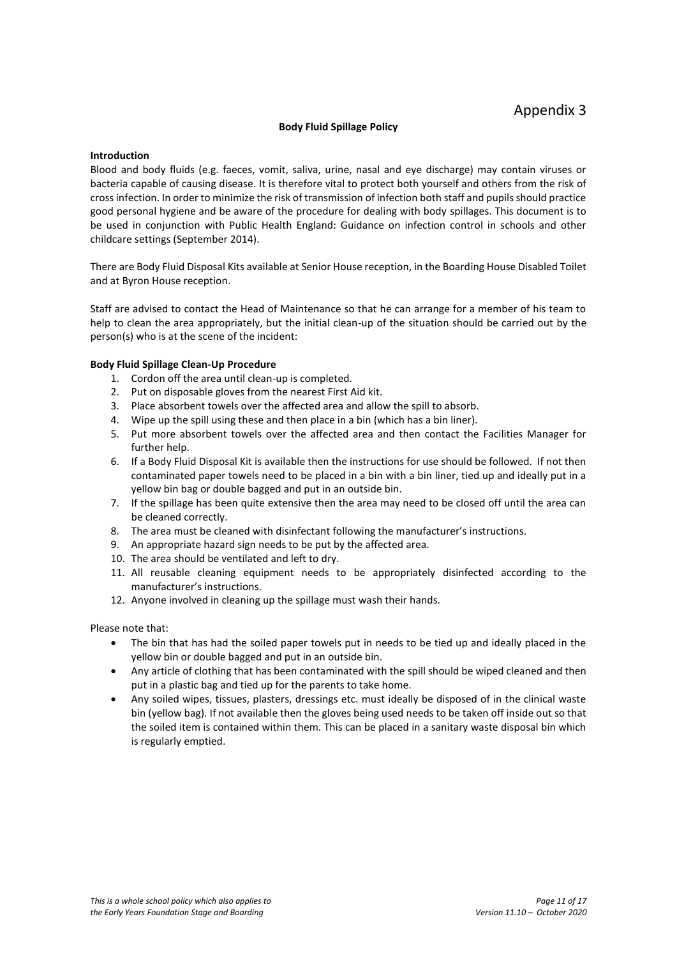## **Body Fluid Spillage Policy**

## <span id="page-10-0"></span>**Introduction**

Blood and body fluids (e.g. faeces, vomit, saliva, urine, nasal and eye discharge) may contain viruses or bacteria capable of causing disease. It is therefore vital to protect both yourself and others from the risk of cross infection. In order to minimize the risk of transmission of infection both staff and pupils should practice good personal hygiene and be aware of the procedure for dealing with body spillages. This document is to be used in conjunction with Public Health England: Guidance on infection control in schools and other childcare settings (September 2014).

There are Body Fluid Disposal Kits available at Senior House reception, in the Boarding House Disabled Toilet and at Byron House reception.

Staff are advised to contact the Head of Maintenance so that he can arrange for a member of his team to help to clean the area appropriately, but the initial clean-up of the situation should be carried out by the person(s) who is at the scene of the incident:

## **Body Fluid Spillage Clean-Up Procedure**

- 1. Cordon off the area until clean-up is completed.
- 2. Put on disposable gloves from the nearest First Aid kit.
- 3. Place absorbent towels over the affected area and allow the spill to absorb.
- 4. Wipe up the spill using these and then place in a bin (which has a bin liner).
- 5. Put more absorbent towels over the affected area and then contact the Facilities Manager for further help.
- 6. If a Body Fluid Disposal Kit is available then the instructions for use should be followed. If not then contaminated paper towels need to be placed in a bin with a bin liner, tied up and ideally put in a yellow bin bag or double bagged and put in an outside bin.
- 7. If the spillage has been quite extensive then the area may need to be closed off until the area can be cleaned correctly.
- 8. The area must be cleaned with disinfectant following the manufacturer's instructions.
- 9. An appropriate hazard sign needs to be put by the affected area.
- 10. The area should be ventilated and left to dry.
- 11. All reusable cleaning equipment needs to be appropriately disinfected according to the manufacturer's instructions.
- 12. Anyone involved in cleaning up the spillage must wash their hands.

Please note that:

- The bin that has had the soiled paper towels put in needs to be tied up and ideally placed in the yellow bin or double bagged and put in an outside bin.
- Any article of clothing that has been contaminated with the spill should be wiped cleaned and then put in a plastic bag and tied up for the parents to take home.
- Any soiled wipes, tissues, plasters, dressings etc. must ideally be disposed of in the clinical waste bin (yellow bag). If not available then the gloves being used needs to be taken off inside out so that the soiled item is contained within them. This can be placed in a sanitary waste disposal bin which is regularly emptied.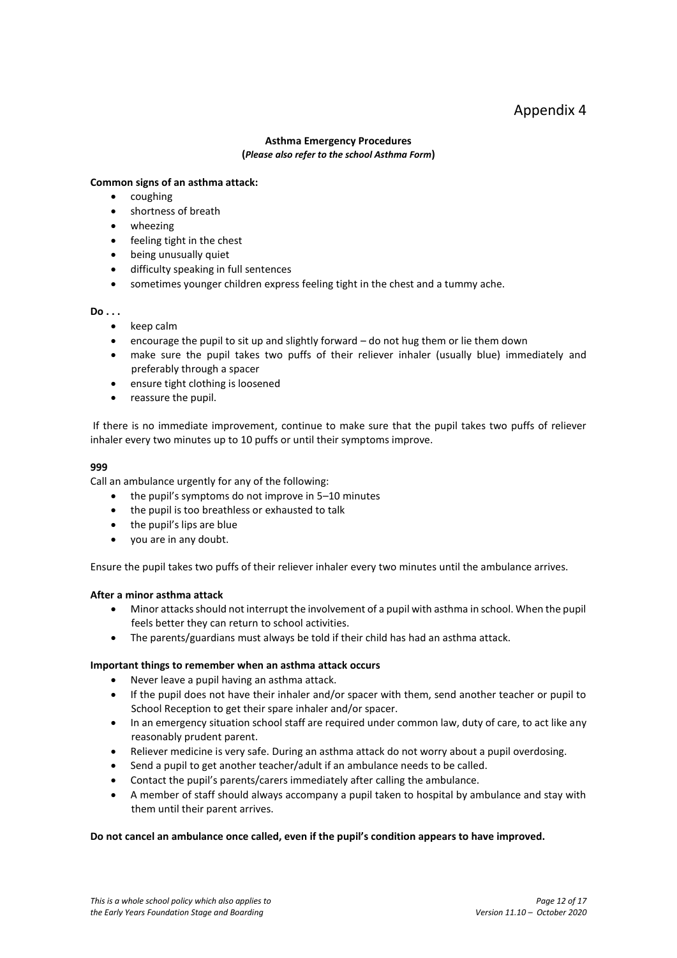## Appendix 4

## **Asthma Emergency Procedures (***Please also refer to the school Asthma Form***)**

## **Common signs of an asthma attack:**

- coughing
- shortness of breath
- wheezing
- feeling tight in the chest
- being unusually quiet
- difficulty speaking in full sentences
- sometimes younger children express feeling tight in the chest and a tummy ache.

## **Do . . .**

- keep calm
- encourage the pupil to sit up and slightly forward do not hug them or lie them down
- make sure the pupil takes two puffs of their reliever inhaler (usually blue) immediately and preferably through a spacer
- ensure tight clothing is loosened
- reassure the pupil.

If there is no immediate improvement, continue to make sure that the pupil takes two puffs of reliever inhaler every two minutes up to 10 puffs or until their symptoms improve.

## **999**

Call an ambulance urgently for any of the following:

- the pupil's symptoms do not improve in 5–10 minutes
- the pupil is too breathless or exhausted to talk
- the pupil's lips are blue
- you are in any doubt.

Ensure the pupil takes two puffs of their reliever inhaler every two minutes until the ambulance arrives.

## **After a minor asthma attack**

- Minor attacks should not interrupt the involvement of a pupil with asthma in school. When the pupil feels better they can return to school activities.
- The parents/guardians must always be told if their child has had an asthma attack.

## **Important things to remember when an asthma attack occurs**

- Never leave a pupil having an asthma attack.
- If the pupil does not have their inhaler and/or spacer with them, send another teacher or pupil to School Reception to get their spare inhaler and/or spacer.
- In an emergency situation school staff are required under common law, duty of care, to act like any reasonably prudent parent.
- Reliever medicine is very safe. During an asthma attack do not worry about a pupil overdosing.
- Send a pupil to get another teacher/adult if an ambulance needs to be called.
- Contact the pupil's parents/carers immediately after calling the ambulance.
- A member of staff should always accompany a pupil taken to hospital by ambulance and stay with them until their parent arrives.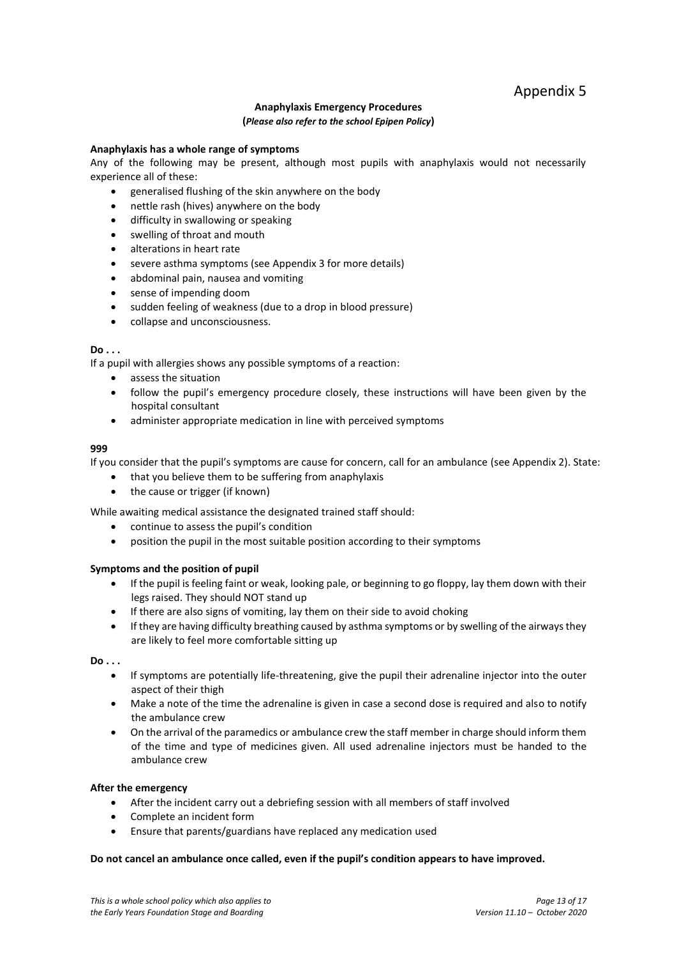## **Anaphylaxis Emergency Procedures (***Please also refer to the school Epipen Policy***)**

## **Anaphylaxis has a whole range of symptoms**

Any of the following may be present, although most pupils with anaphylaxis would not necessarily experience all of these:

- generalised flushing of the skin anywhere on the body
- nettle rash (hives) anywhere on the body
- difficulty in swallowing or speaking
- swelling of throat and mouth
- alterations in heart rate
- severe asthma symptoms (see Appendix 3 for more details)
- abdominal pain, nausea and vomiting
- sense of impending doom
- sudden feeling of weakness (due to a drop in blood pressure)
- collapse and unconsciousness.

## **Do . . .**

If a pupil with allergies shows any possible symptoms of a reaction:

- assess the situation
- follow the pupil's emergency procedure closely, these instructions will have been given by the hospital consultant
- administer appropriate medication in line with perceived symptoms

## **999**

If you consider that the pupil's symptoms are cause for concern, call for an ambulance (see Appendix 2). State:

- that you believe them to be suffering from anaphylaxis
- the cause or trigger (if known)

While awaiting medical assistance the designated trained staff should:

- continue to assess the pupil's condition
- position the pupil in the most suitable position according to their symptoms

## **Symptoms and the position of pupil**

- If the pupil is feeling faint or weak, looking pale, or beginning to go floppy, lay them down with their legs raised. They should NOT stand up
- If there are also signs of vomiting, lay them on their side to avoid choking
- If they are having difficulty breathing caused by asthma symptoms or by swelling of the airways they are likely to feel more comfortable sitting up

## **Do . . .**

- If symptoms are potentially life-threatening, give the pupil their adrenaline injector into the outer aspect of their thigh
- Make a note of the time the adrenaline is given in case a second dose is required and also to notify the ambulance crew
- On the arrival of the paramedics or ambulance crew the staff member in charge should inform them of the time and type of medicines given. All used adrenaline injectors must be handed to the ambulance crew

## **After the emergency**

- After the incident carry out a debriefing session with all members of staff involved
- Complete an incident form
- Ensure that parents/guardians have replaced any medication used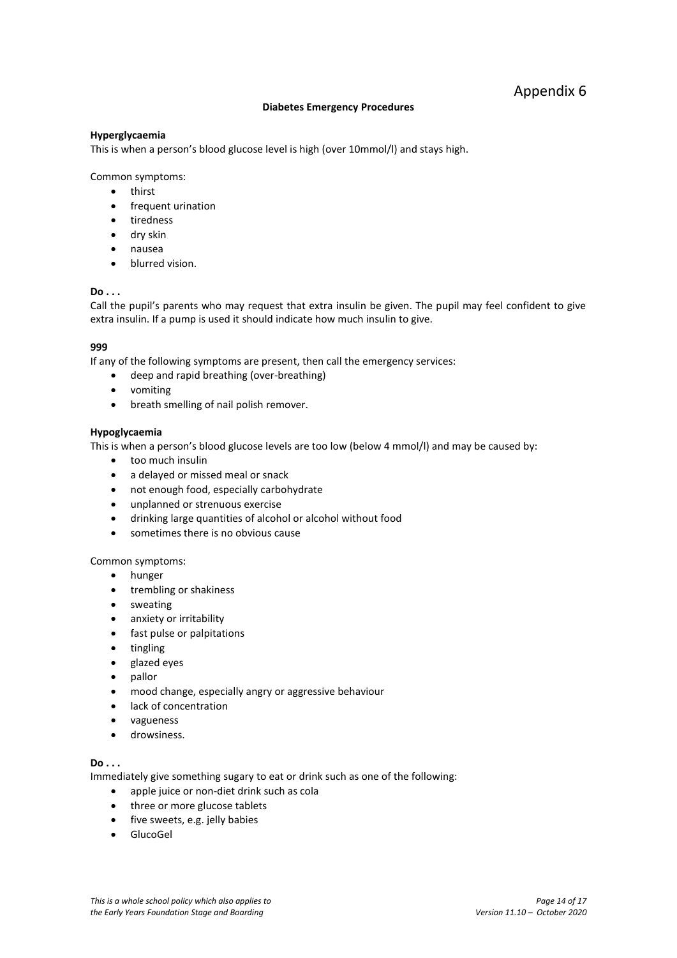## **Diabetes Emergency Procedures**

## **Hyperglycaemia**

This is when a person's blood glucose level is high (over 10mmol/l) and stays high.

Common symptoms:

- thirst
- frequent urination
- tiredness
- dry skin
- nausea
- blurred vision.

## **Do . . .**

Call the pupil's parents who may request that extra insulin be given. The pupil may feel confident to give extra insulin. If a pump is used it should indicate how much insulin to give.

## **999**

If any of the following symptoms are present, then call the emergency services:

- deep and rapid breathing (over-breathing)
- vomiting
- breath smelling of nail polish remover.

## **Hypoglycaemia**

This is when a person's blood glucose levels are too low (below 4 mmol/l) and may be caused by:

- too much insulin
- a delayed or missed meal or snack
- not enough food, especially carbohydrate
- unplanned or strenuous exercise
- drinking large quantities of alcohol or alcohol without food
- sometimes there is no obvious cause

Common symptoms:

- hunger
- trembling or shakiness
- sweating
- anxiety or irritability
- fast pulse or palpitations
- tingling
- glazed eyes
- pallor
- mood change, especially angry or aggressive behaviour
- lack of concentration
- vagueness
- **•** drowsiness.

## **Do . . .**

Immediately give something sugary to eat or drink such as one of the following:

- apple juice or non-diet drink such as cola
- three or more glucose tablets
- five sweets, e.g. jelly babies
- GlucoGel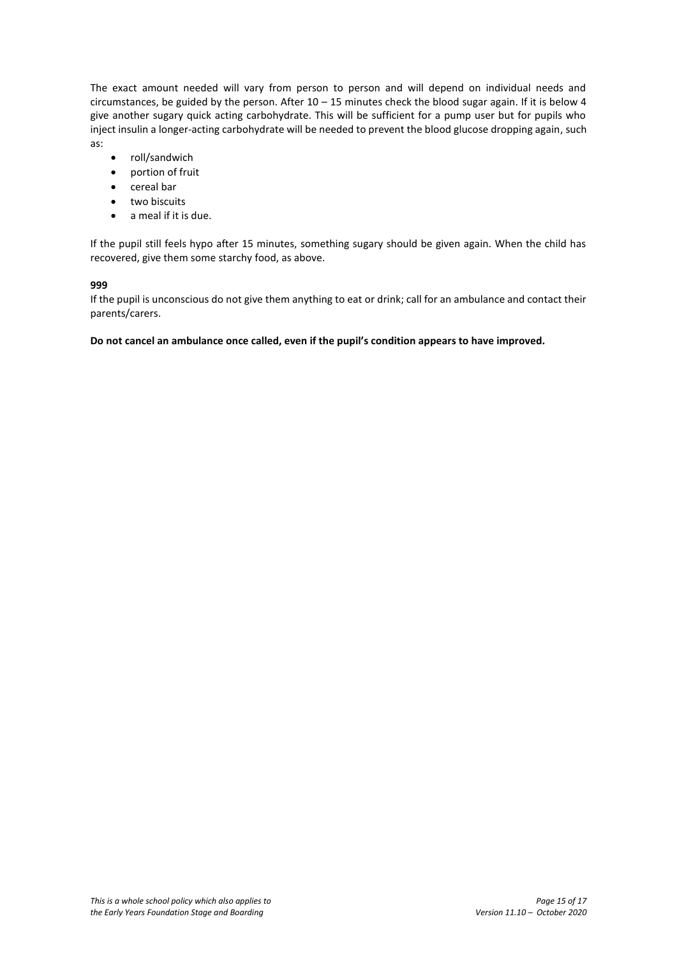The exact amount needed will vary from person to person and will depend on individual needs and circumstances, be guided by the person. After 10 – 15 minutes check the blood sugar again. If it is below 4 give another sugary quick acting carbohydrate. This will be sufficient for a pump user but for pupils who inject insulin a longer-acting carbohydrate will be needed to prevent the blood glucose dropping again, such as:

- roll/sandwich
- portion of fruit
- cereal bar
- two biscuits
- a meal if it is due.

If the pupil still feels hypo after 15 minutes, something sugary should be given again. When the child has recovered, give them some starchy food, as above.

## **999**

If the pupil is unconscious do not give them anything to eat or drink; call for an ambulance and contact their parents/carers.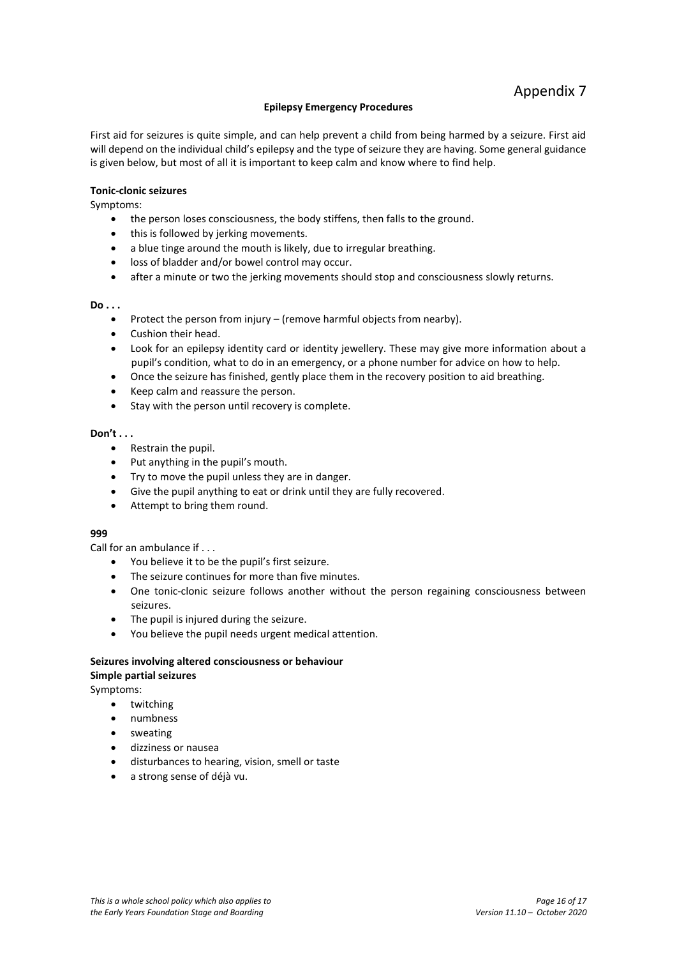## Appendix 7

## **Epilepsy Emergency Procedures**

First aid for seizures is quite simple, and can help prevent a child from being harmed by a seizure. First aid will depend on the individual child's epilepsy and the type of seizure they are having. Some general guidance is given below, but most of all it is important to keep calm and know where to find help.

## **Tonic-clonic seizures**

Symptoms:

- the person loses consciousness, the body stiffens, then falls to the ground.
- this is followed by jerking movements.
- a blue tinge around the mouth is likely, due to irregular breathing.
- loss of bladder and/or bowel control may occur.
- after a minute or two the jerking movements should stop and consciousness slowly returns.

## **Do . . .**

- Protect the person from injury (remove harmful objects from nearby).
- Cushion their head.
- Look for an epilepsy identity card or identity jewellery. These may give more information about a pupil's condition, what to do in an emergency, or a phone number for advice on how to help.
- Once the seizure has finished, gently place them in the recovery position to aid breathing.
- Keep calm and reassure the person.
- Stay with the person until recovery is complete.

## **Don't . . .**

- Restrain the pupil.
- Put anything in the pupil's mouth.
- Try to move the pupil unless they are in danger.
- Give the pupil anything to eat or drink until they are fully recovered.
- Attempt to bring them round.

## **999**

Call for an ambulance if . . .

- You believe it to be the pupil's first seizure.
- The seizure continues for more than five minutes.
- One tonic-clonic seizure follows another without the person regaining consciousness between seizures.
- The pupil is injured during the seizure.
- You believe the pupil needs urgent medical attention.

## **Seizures involving altered consciousness or behaviour Simple partial seizures**

Symptoms:

- twitching
- numbness
- sweating
- dizziness or nausea
- disturbances to hearing, vision, smell or taste
- a strong sense of déjà vu.